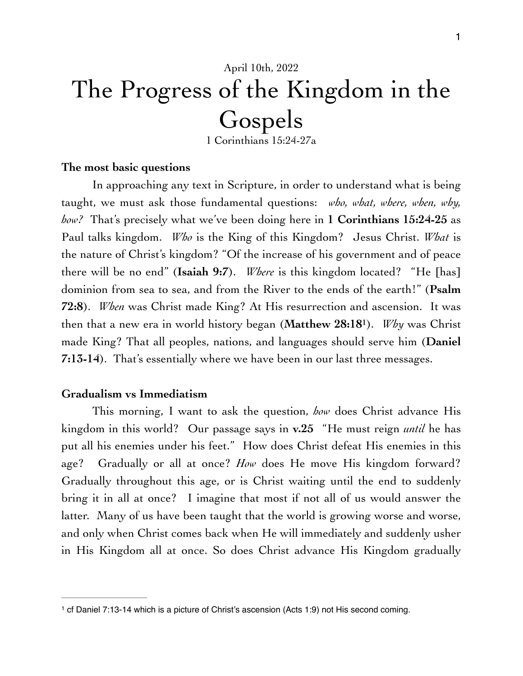# April 10th, 2022 The Progress of the Kingdom in the Gospels

<span id="page-0-1"></span>1 Corinthians 15:24-27a

### **The most basic questions**

In approaching any text in Scripture, in order to understand what is being taught, we must ask those fundamental questions: *who, what, where, when, why, how?* That's precisely what we've been doing here in **1 Corinthians 15:24-25** as Paul talks kingdom. *Who* is the King of this Kingdom? Jesus Christ. *What* is the nature of Christ's kingdom? "Of the increase of his government and of peace there will be no end" (**Isaiah 9:7**). *Where* is this kingdom located? "He [has] dominion from sea to sea, and from the River to the ends of the earth!" (**Psalm 72:8**). *When* was Christ made King? At His resurrection and ascension. It was then that a new era in world history began (Matthew 28:[1](#page-0-0)8<sup>1</sup>). *Why* was Christ made King? That all peoples, nations, and languages should serve him (**Daniel 7:13-14**). That's essentially where we have been in our last three messages.

## **Gradualism vs Immediatism**

This morning, I want to ask the question, *how* does Christ advance His kingdom in this world? Our passage says in **v.25** "He must reign *until* he has put all his enemies under his feet." How does Christ defeat His enemies in this age? Gradually or all at once? *How* does He move His kingdom forward? Gradually throughout this age, or is Christ waiting until the end to suddenly bring it in all at once? I imagine that most if not all of us would answer the latter. Many of us have been taught that the world is growing worse and worse, and only when Christ comes back when He will immediately and suddenly usher in His Kingdom all at once. So does Christ advance His Kingdom gradually

<span id="page-0-0"></span><sup>&</sup>lt;sup>1</sup>cf Daniel 7:[1](#page-0-1)3-14 which is a picture of Christ's ascension (Acts 1:9) not His second coming.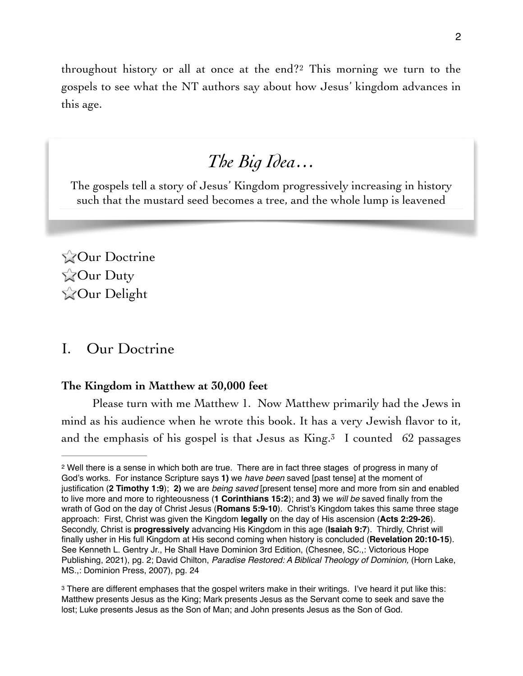throughouthistory or all at once at the end?<sup>[2](#page-1-0)</sup> This morning we turn to the gospels to see what the NT authors say about how Jesus' kingdom advances in this age.

## <span id="page-1-2"></span>*The Big Idea…*

The gospels tell a story of Jesus' Kingdom progressively increasing in history such that the mustard seed becomes a tree, and the whole lump is leavened

**ZOur Doctrine ZOur Duty ZOur Delight** 

## I. Our Doctrine

## **The Kingdom in Matthew at 30,000 feet**

<span id="page-1-3"></span>Please turn with me Matthew 1. Now Matthew primarily had the Jews in mind as his audience when he wrote this book. It has a very Jewish flavor to it, and the emphasis of his gospel is that Jesus as  $King.^3$  $King.^3$  I counted 62 passages

<span id="page-1-0"></span><sup>&</sup>lt;sup>2</sup>Well there is a sense in which both are true. There are in fact three stages of progress in many of God's works. For instance Scripture says **1)** we *have been* saved [past tense] at the moment of justification (**2 Timothy 1:9**); **2)** we are *being saved* [present tense] more and more from sin and enabled to live more and more to righteousness (**1 Corinthians 15:2**); and **3)** we *will be* saved finally from the wrath of God on the day of Christ Jesus (**Romans 5:9-10**). Christ's Kingdom takes this same three stage approach: First, Christ was given the Kingdom **legally** on the day of His ascension (**Acts 2:29-26**). Secondly, Christ is **progressively** advancing His Kingdom in this age (**Isaiah 9:7**). Thirdly, Christ will finally usher in His full Kingdom at His second coming when history is concluded (**Revelation 20:10-15**). See Kenneth L. Gentry Jr., He Shall Have Dominion 3rd Edition, (Chesnee, SC.,: Victorious Hope Publishing, 2021), pg. 2; David Chilton, *Paradise Restored: A Biblical Theology of Dominion,* (Horn Lake, MS.,: Dominion Press, 2007), pg. 24

<span id="page-1-1"></span><sup>&</sup>lt;sup>3</sup>There are different emphases that the gospel writers make in their writings. I've heard it put like this: Matthew presents Jesus as the King; Mark presents Jesus as the Servant come to seek and save the lost; Luke presents Jesus as the Son of Man; and John presents Jesus as the Son of God.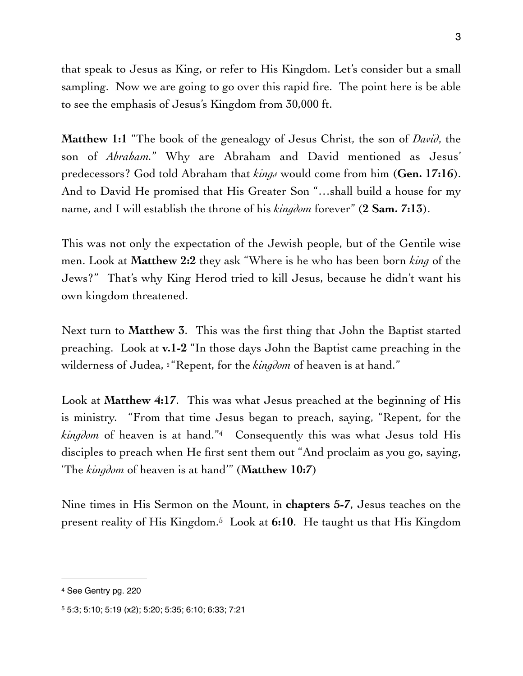that speak to Jesus as King, or refer to His Kingdom. Let's consider but a small sampling. Now we are going to go over this rapid fire. The point here is be able to see the emphasis of Jesus's Kingdom from 30,000 ft.

**Matthew 1:1** "The book of the genealogy of Jesus Christ, the son of *David*, the son of *Abraham.*" Why are Abraham and David mentioned as Jesus' predecessors? God told Abraham that *kings* would come from him (**Gen. 17:16**). And to David He promised that His Greater Son "…shall build a house for my name, and I will establish the throne of his *kingdom* forever" (**2 Sam. 7:13**).

This was not only the expectation of the Jewish people, but of the Gentile wise men. Look at **Matthew 2:2** they ask "Where is he who has been born *king* of the Jews?" That's why King Herod tried to kill Jesus, because he didn't want his own kingdom threatened.

Next turn to **Matthew 3**. This was the first thing that John the Baptist started preaching. Look at **v.1-2** "In those days John the Baptist came preaching in the wilderness of Judea, <sup>2</sup> Repent, for the *kingdom* of heaven is at hand."

<span id="page-2-2"></span>Look at **Matthew 4:17**. This was what Jesus preached at the beginning of His is ministry. "From that time Jesus began to preach, saying, "Repent, for the *kingdom* of heaven is at hand.["](#page-2-0)<sup>[4](#page-2-0)</sup> Consequently this was what Jesus told His disciples to preach when He first sent them out "And proclaim as you go, saying, 'The *kingdom* of heaven is at hand'" (**Matthew 10:7**)

<span id="page-2-3"></span>Nine times in His Sermon on the Mount, in **chapters 5-7**, Jesus teaches on the present reality of His Kingdom[.](#page-2-1)<sup>5</sup> Look at 6:10. He taught us that His Kingdom

<span id="page-2-0"></span>[<sup>4</sup>](#page-2-2) See Gentry pg. 220

<span id="page-2-1"></span>[<sup>5</sup>](#page-2-3) 5:3; 5:10; 5:19 (x2); 5:20; 5:35; 6:10; 6:33; 7:21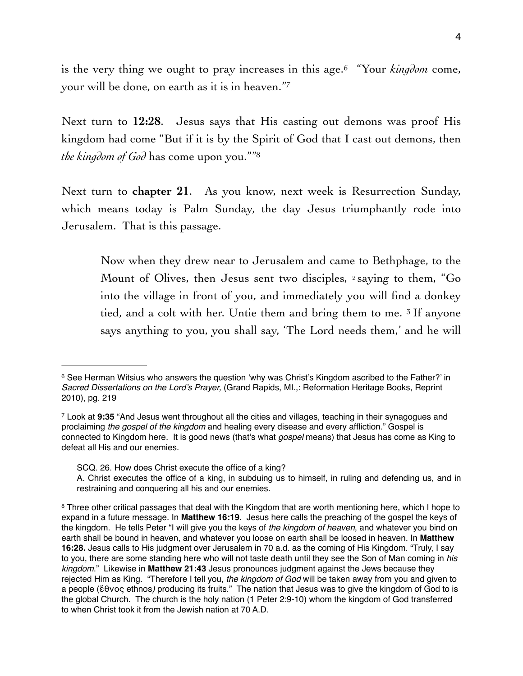<span id="page-3-4"></span><span id="page-3-3"></span>is the very thing we ought to pray increases in this age.<sup>6</sup> "Your *kingdom* come, your will be done, on earth as it is in heaven.["7](#page-3-1)

Next turn to **12:28**. Jesus says that His casting out demons was proof His kingdom had come "But if it is by the Spirit of God that I cast out demons, then *the kingdom of God* has come upon you."["8](#page-3-2)

Next turn to **chapter 21**. As you know, next week is Resurrection Sunday, which means today is Palm Sunday, the day Jesus triumphantly rode into Jerusalem. That is this passage.

<span id="page-3-5"></span>Now when they drew near to Jerusalem and came to Bethphage, to the Mount of Olives, then Jesus sent two disciples, 2 saying to them, "Go into the village in front of you, and immediately you will find a donkey tied, and a colt with her. Untie them and bring them to me. 3 If anyone says anything to you, you shall say, 'The Lord needs them,' and he will

<span id="page-3-0"></span> $6$ See Herman Witsius who answers the question 'why was Christ's Kingdom ascribed to the Father?' in *Sacred Dissertations on the Lord's Prayer,* (Grand Rapids, MI.,: Reformation Heritage Books, Reprint 2010), pg. 219

<span id="page-3-1"></span>Look at **9:35** "And Jesus went throughout all the cities and villages, teaching in their synagogues and [7](#page-3-4) proclaiming *the gospel of the kingdom* and healing every disease and every affliction." Gospel is connected to Kingdom here. It is good news (that's what *gospel* means) that Jesus has come as King to defeat all His and our enemies.

SCQ. 26. How does Christ execute the office of a king?

A. Christ executes the office of a king, in subduing us to himself, in ruling and defending us, and in restraining and conquering all his and our enemies.

<span id="page-3-2"></span><sup>&</sup>lt;sup>8</sup>Three other critical passages that deal with the Kingdom that are worth mentioning here, which I hope to expand in a future message. In **Matthew 16:19**. Jesus here calls the preaching of the gospel the keys of the kingdom. He tells Peter "I will give you the keys of *the kingdom of heaven*, and whatever you bind on earth shall be bound in heaven, and whatever you loose on earth shall be loosed in heaven. In **Matthew 16:28.** Jesus calls to His judgment over Jerusalem in 70 a.d. as the coming of His Kingdom. "Truly, I say to you, there are some standing here who will not taste death until they see the Son of Man coming in *his kingdom*." Likewise in **Matthew 21:43** Jesus pronounces judgment against the Jews because they rejected Him as King. "Therefore I tell you, *the kingdom of God* will be taken away from you and given to a people (ἔθνος ethnos*)* producing its fruits." The nation that Jesus was to give the kingdom of God to is the global Church. The church is the holy nation (1 Peter 2:9-10) whom the kingdom of God transferred to when Christ took it from the Jewish nation at 70 A.D.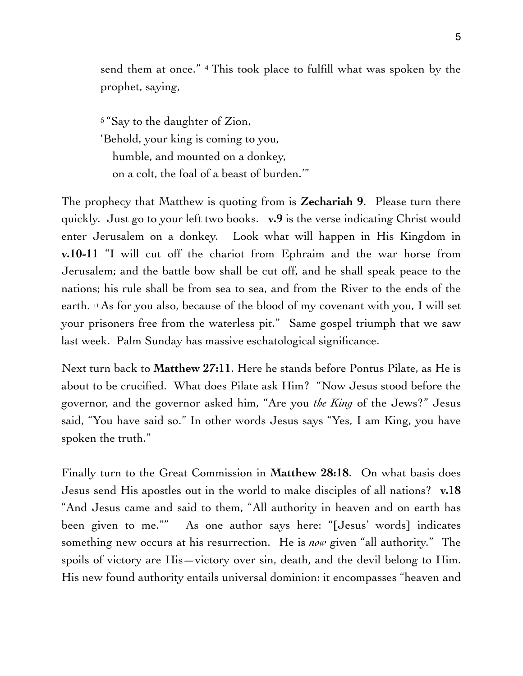send them at once." <sup>4</sup> This took place to fulfill what was spoken by the prophet, saying,

5 "Say to the daughter of Zion, 'Behold, your king is coming to you, humble, and mounted on a donkey, on a colt, the foal of a beast of burden.'"

The prophecy that Matthew is quoting from is **Zechariah 9**. Please turn there quickly. Just go to your left two books. **v.9** is the verse indicating Christ would enter Jerusalem on a donkey. Look what will happen in His Kingdom in **v.10-11** "I will cut off the chariot from Ephraim and the war horse from Jerusalem; and the battle bow shall be cut off, and he shall speak peace to the nations; his rule shall be from sea to sea, and from the River to the ends of the earth. 11 As for you also, because of the blood of my covenant with you, I will set your prisoners free from the waterless pit." Same gospel triumph that we saw last week. Palm Sunday has massive eschatological significance.

Next turn back to **Matthew 27:11**. Here he stands before Pontus Pilate, as He is about to be crucified. What does Pilate ask Him? "Now Jesus stood before the governor, and the governor asked him, "Are you *the King* of the Jews?" Jesus said, "You have said so." In other words Jesus says "Yes, I am King, you have spoken the truth."

Finally turn to the Great Commission in **Matthew 28:18**. On what basis does Jesus send His apostles out in the world to make disciples of all nations? **v.18**  "And Jesus came and said to them, "All authority in heaven and on earth has been given to me."" As one author says here: "[Jesus' words] indicates something new occurs at his resurrection. He is *now* given "all authority." The spoils of victory are His—victory over sin, death, and the devil belong to Him. His new found authority entails universal dominion: it encompasses "heaven and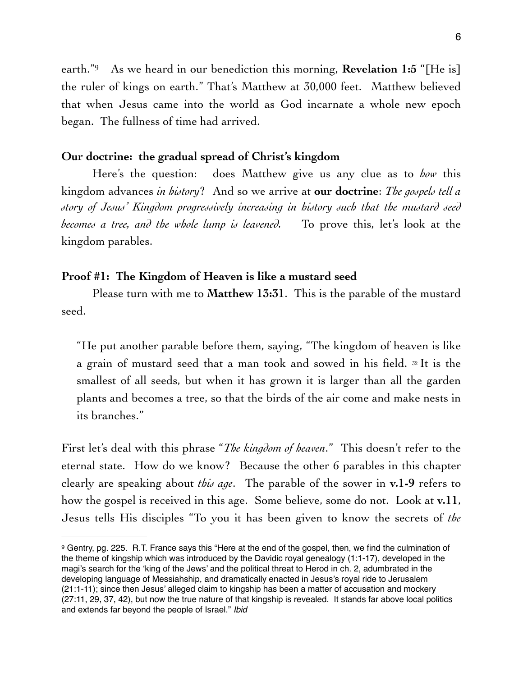<span id="page-5-1"></span>earth.<sup>"9</sup> As we heard in our benediction this morning, **Revelation 1:5** "[He is] the ruler of kings on earth." That's Matthew at 30,000 feet. Matthew believed that when Jesus came into the world as God incarnate a whole new epoch began. The fullness of time had arrived.

## **Our doctrine: the gradual spread of Christ's kingdom**

Here's the question: does Matthew give us any clue as to *how* this kingdom advances *in history*? And so we arrive at **our doctrine**: *The gospels tell a story of Jesus' Kingdom progressively increasing in history such that the mustard seed becomes a tree, and the whole lump is leavened.* To prove this, let's look at the kingdom parables.

## **Proof #1: The Kingdom of Heaven is like a mustard seed**

Please turn with me to **Matthew 13:31**. This is the parable of the mustard seed.

"He put another parable before them, saying, "The kingdom of heaven is like a grain of mustard seed that a man took and sowed in his field. 32 It is the smallest of all seeds, but when it has grown it is larger than all the garden plants and becomes a tree, so that the birds of the air come and make nests in its branches."

First let's deal with this phrase "*The kingdom of heaven*." This doesn't refer to the eternal state. How do we know? Because the other 6 parables in this chapter clearly are speaking about *this age*. The parable of the sower in **v.1-9** refers to how the gospel is received in this age. Some believe, some do not. Look at **v.11**, Jesus tells His disciples "To you it has been given to know the secrets of *the* 

<span id="page-5-0"></span><sup>&</sup>lt;sup>9</sup>Gentry, pg. 225. R.T. France says this "Here at the end of the gospel, then, we find the culmination of the theme of kingship which was introduced by the Davidic royal genealogy (1:1-17), developed in the magi's search for the 'king of the Jews' and the political threat to Herod in ch. 2, adumbrated in the developing language of Messiahship, and dramatically enacted in Jesus's royal ride to Jerusalem (21:1-11); since then Jesus' alleged claim to kingship has been a matter of accusation and mockery (27:11, 29, 37, 42), but now the true nature of that kingship is revealed. It stands far above local politics and extends far beyond the people of Israel." *Ibid*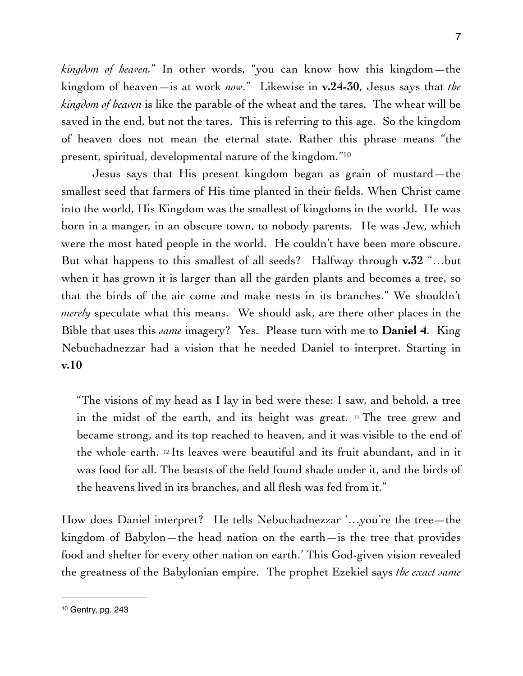*kingdom of heaven.*" In other words, "you can know how this kingdom—the kingdom of heaven—is at work *now*." Likewise in **v.24-30**, Jesus says that *the kingdom of heaven* is like the parable of the wheat and the tares. The wheat will be saved in the end, but not the tares. This is referring to this age. So the kingdom of heaven does not mean the eternal state. Rather this phrase means "the present, spiritual, developmental nature of the kingdom." [10](#page-6-0)

<span id="page-6-1"></span>Jesus says that His present kingdom began as grain of mustard—the smallest seed that farmers of His time planted in their fields. When Christ came into the world, His Kingdom was the smallest of kingdoms in the world. He was born in a manger, in an obscure town, to nobody parents. He was Jew, which were the most hated people in the world. He couldn't have been more obscure. But what happens to this smallest of all seeds? Halfway through **v.32** "…but when it has grown it is larger than all the garden plants and becomes a tree, so that the birds of the air come and make nests in its branches." We shouldn't *merely* speculate what this means. We should ask, are there other places in the Bible that uses this *same* imagery? Yes. Please turn with me to **Daniel 4**. King Nebuchadnezzar had a vision that he needed Daniel to interpret. Starting in **v.10** 

"The visions of my head as I lay in bed were these: I saw, and behold, a tree in the midst of the earth, and its height was great. 11 The tree grew and became strong, and its top reached to heaven, and it was visible to the end of the whole earth. 12 Its leaves were beautiful and its fruit abundant, and in it was food for all. The beasts of the field found shade under it, and the birds of the heavens lived in its branches, and all flesh was fed from it."

How does Daniel interpret? He tells Nebuchadnezzar '…you're the tree—the kingdom of Babylon—the head nation on the earth—is the tree that provides food and shelter for every other nation on earth.' This God-given vision revealed the greatness of the Babylonian empire. The prophet Ezekiel says *the exact same* 

<span id="page-6-0"></span>[<sup>10</sup>](#page-6-1) Gentry, pg. 243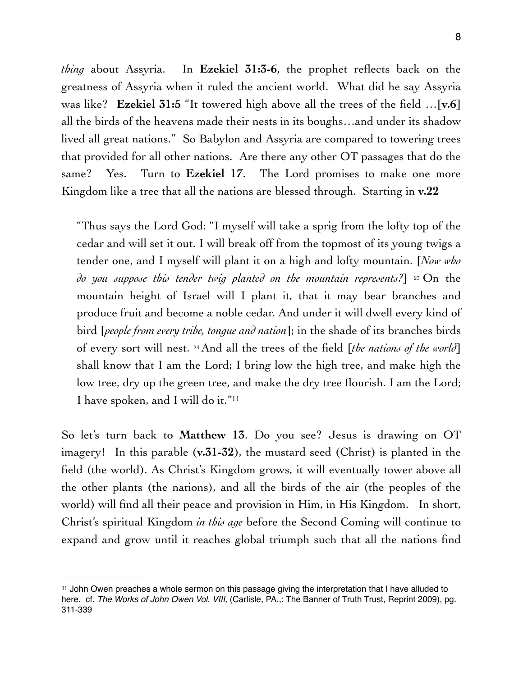*thing* about Assyria. In **Ezekiel 31:3-6**, the prophet reflects back on the greatness of Assyria when it ruled the ancient world. What did he say Assyria was like? **Ezekiel 31:5** "It towered high above all the trees of the field …[**v.6**] all the birds of the heavens made their nests in its boughs…and under its shadow lived all great nations." So Babylon and Assyria are compared to towering trees that provided for all other nations. Are there any other OT passages that do the same? Yes. Turn to **Ezekiel 17**. The Lord promises to make one more Kingdom like a tree that all the nations are blessed through. Starting in **v.22**

"Thus says the Lord God: "I myself will take a sprig from the lofty top of the cedar and will set it out. I will break off from the topmost of its young twigs a tender one, and I myself will plant it on a high and lofty mountain. [*Now who do you suppose this tender twig planted on the mountain represents?*] 23 On the mountain height of Israel will I plant it, that it may bear branches and produce fruit and become a noble cedar. And under it will dwell every kind of bird [*people from every tribe, tongue and nation*]; in the shade of its branches birds of every sort will nest. 24 And all the trees of the field [*the nations of the world*] shall know that I am the Lord; I bring low the high tree, and make high the low tree, dry up the green tree, and make the dry tree flourish. I am the Lord; I have spoken, and I will do it."[11](#page-7-0)

<span id="page-7-1"></span>So let's turn back to **Matthew 13**. Do you see? Jesus is drawing on OT imagery! In this parable (**v.31-32**), the mustard seed (Christ) is planted in the field (the world). As Christ's Kingdom grows, it will eventually tower above all the other plants (the nations), and all the birds of the air (the peoples of the world) will find all their peace and provision in Him, in His Kingdom. In short, Christ's spiritual Kingdom *in this age* before the Second Coming will continue to expand and grow until it reaches global triumph such that all the nations find

<span id="page-7-0"></span> $11$ John Owen preaches a whole sermon on this passage giving the interpretation that I have alluded to here. cf. *The Works of John Owen Vol. VIII,* (Carlisle, PA.,: The Banner of Truth Trust, Reprint 2009), pg. 311-339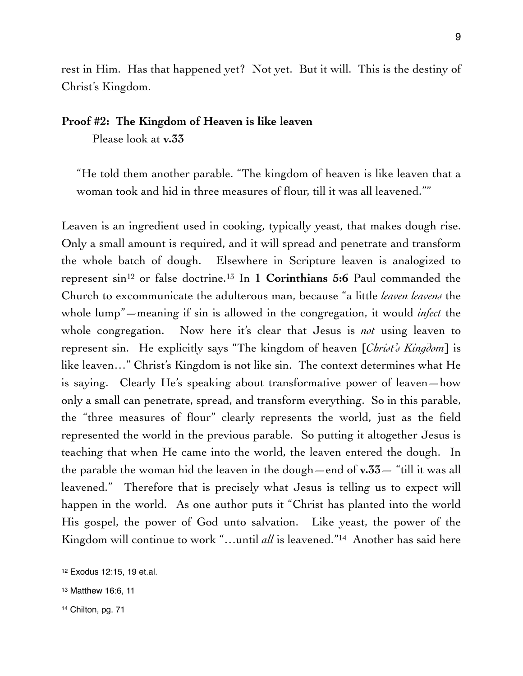rest in Him. Has that happened yet? Not yet. But it will. This is the destiny of Christ's Kingdom.

## **Proof #2: The Kingdom of Heaven is like leaven**

Please look at **v.33**

"He told them another parable. "The kingdom of heaven is like leaven that a woman took and hid in three measures of flour, till it was all leavened.""

<span id="page-8-4"></span><span id="page-8-3"></span>Leaven is an ingredient used in cooking, typically yeast, that makes dough rise. Only a small amount is required, and it will spread and penetrate and transform the whole batch of dough. Elsewhere in Scripture leaven is analogized to represent  $\sin^{12}$  or false doctrine[.](#page-8-1)<sup>13</sup> In 1 **Corinthians 5:6** Paul commanded the Church to excommunicate the adulterous man, because "a little *leaven leavens* the whole lump"—meaning if sin is allowed in the congregation, it would *infect* the whole congregation. Now here it's clear that Jesus is *not* using leaven to represent sin. He explicitly says "The kingdom of heaven [*Christ's Kingdom*] is like leaven…" Christ's Kingdom is not like sin. The context determines what He is saying. Clearly He's speaking about transformative power of leaven—how only a small can penetrate, spread, and transform everything. So in this parable, the "three measures of flour" clearly represents the world, just as the field represented the world in the previous parable. So putting it altogether Jesus is teaching that when He came into the world, the leaven entered the dough. In the parable the woman hid the leaven in the dough—end of **v.33**— "till it was all leavened." Therefore that is precisely what Jesus is telling us to expect will happen in the world. As one author puts it "Christ has planted into the world His gospel, the power of God unto salvation. Like yeast, the power of the Kingdomwill continue to work "...until *all* is leavened."<sup>[14](#page-8-2)</sup> Another has said here

<span id="page-8-5"></span><span id="page-8-0"></span>[<sup>12</sup>](#page-8-3) Exodus 12:15, 19 et.al.

<span id="page-8-1"></span>[<sup>13</sup>](#page-8-4) Matthew 16:6, 11

<span id="page-8-2"></span>[<sup>14</sup>](#page-8-5) Chilton, pg. 71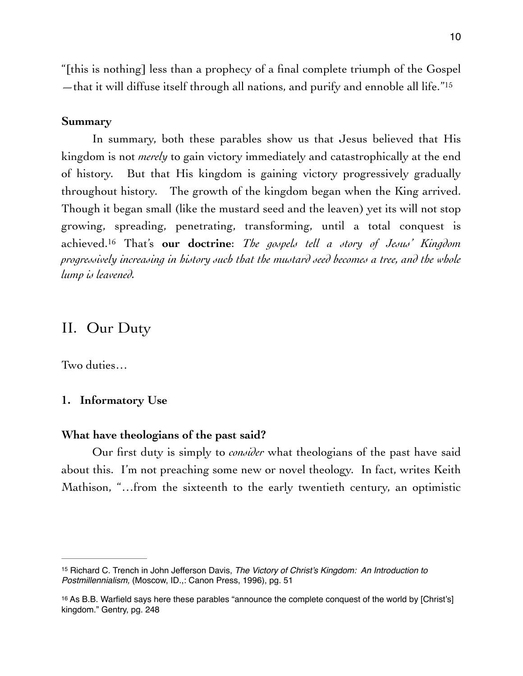<span id="page-9-2"></span>"[this is nothing] less than a prophecy of a final complete triumph of the Gospel —that it will diffuse itself through all nations, and purify and ennoble all life.<sup>"[15](#page-9-0)</sup>

## **Summary**

In summary, both these parables show us that Jesus believed that His kingdom is not *merely* to gain victory immediately and catastrophically at the end of history. But that His kingdom is gaining victory progressively gradually throughout history. The growth of the kingdom began when the King arrived. Though it began small (like the mustard seed and the leaven) yet its will not stop growing, spreading, penetrating, transforming, until a total conquest is achieved[.](#page-9-1) That's **our doctrine**: *The gospels tell a story of Jesus' Kingdom* <sup>16</sup> *progressively increasing in history such that the mustard seed becomes a tree, and the whole lump is leavened.*

## <span id="page-9-3"></span>II. Our Duty

Two duties…

#### **1. Informatory Use**

#### **What have theologians of the past said?**

Our first duty is simply to *consider* what theologians of the past have said about this. I'm not preaching some new or novel theology. In fact, writes Keith Mathison, "…from the sixteenth to the early twentieth century, an optimistic

<span id="page-9-0"></span><sup>&</sup>lt;sup>[15](#page-9-2)</sup> Richard C. Trench in John Jefferson Davis, *The Victory of Christ's Kingdom: An Introduction to Postmillennialism,* (Moscow, ID.,: Canon Press, 1996), pg. 51

<span id="page-9-1"></span><sup>&</sup>lt;sup>[16](#page-9-3)</sup> As B.B. Warfield says here these parables "announce the complete conquest of the world by [Christ's] kingdom." Gentry, pg. 248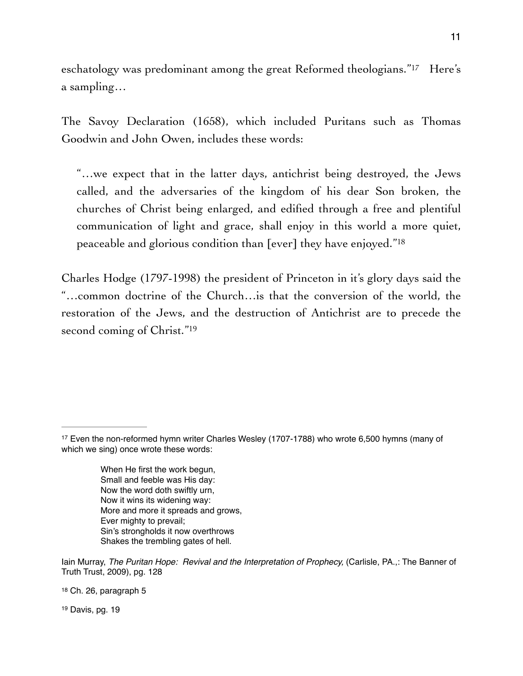<span id="page-10-3"></span>eschatology was predominant among the great Reformed theologians."<sup>[17](#page-10-0)</sup> Here's a sampling…

The Savoy Declaration (1658), which included Puritans such as Thomas Goodwin and John Owen, includes these words:

<span id="page-10-4"></span>"…we expect that in the latter days, antichrist being destroyed, the Jews called, and the adversaries of the kingdom of his dear Son broken, the churches of Christ being enlarged, and edified through a free and plentiful communication of light and grace, shall enjoy in this world a more quiet, peaceable and glorious condition than [ever] they have enjoyed.["18](#page-10-1)

<span id="page-10-5"></span>Charles Hodge (1797-1998) the president of Princeton in it's glory days said the "…common doctrine of the Church…is that the conversion of the world, the restoration of the Jews, and the destruction of Antichrist are to precede the second coming of Christ."<sup>19</sup>

When He first the work begun, Small and feeble was His day: Now the word doth swiftly urn, Now it wins its widening way: More and more it spreads and grows, Ever mighty to prevail; Sin's strongholds it now overthrows Shakes the trembling gates of hell.

<span id="page-10-1"></span>[18](#page-10-4) Ch. 26, paragraph 5

<span id="page-10-2"></span>[19](#page-10-5) Davis, pg. 19

<span id="page-10-0"></span><sup>&</sup>lt;sup>[17](#page-10-3)</sup> Even the non-reformed hymn writer Charles Wesley (1707-1788) who wrote 6,500 hymns (many of which we sing) once wrote these words:

Iain Murray, *The Puritan Hope: Revival and the Interpretation of Prophecy,* (Carlisle, PA.,: The Banner of Truth Trust, 2009), pg. 128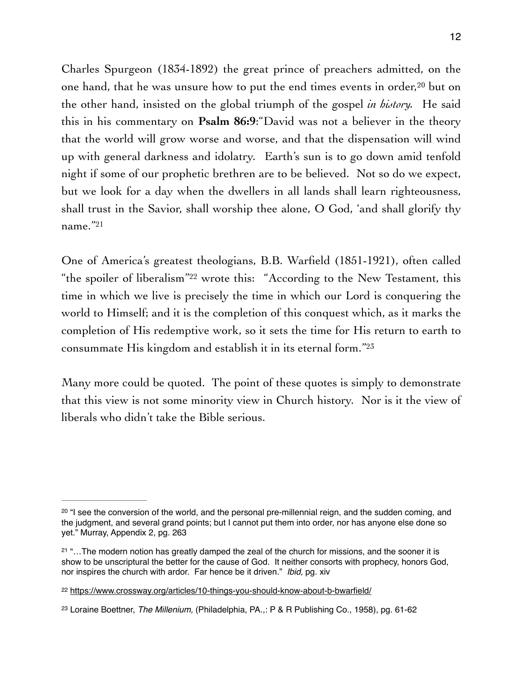<span id="page-11-4"></span>Charles Spurgeon (1834-1892) the great prince of preachers admitted, on the onehand, that he was unsure how to put the end times events in order,  $20$  but on the other hand, insisted on the global triumph of the gospel *in history.* He said this in his commentary on **Psalm 86:9**:"David was not a believer in the theory that the world will grow worse and worse, and that the dispensation will wind up with general darkness and idolatry. Earth's sun is to go down amid tenfold night if some of our prophetic brethren are to be believed. Not so do we expect, but we look for a day when the dwellers in all lands shall learn righteousness, shall trust in the Savior, shall worship thee alone, O God, 'and shall glorify thy name.["21](#page-11-1)

<span id="page-11-6"></span><span id="page-11-5"></span>One of America's greatest theologians, B.B. Warfield (1851-1921), often called "the spoiler of liberalism"<sup>[22](#page-11-2)</sup> wrote this: "According to the New Testament, this time in which we live is precisely the time in which our Lord is conquering the world to Himself; and it is the completion of this conquest which, as it marks the completion of His redemptive work, so it sets the time for His return to earth to consummate His kingdom and establish it in its eternal form."[23](#page-11-3)

<span id="page-11-7"></span>Many more could be quoted. The point of these quotes is simply to demonstrate that this view is not some minority view in Church history. Nor is it the view of liberals who didn't take the Bible serious.

<span id="page-11-0"></span> $20$  "I see the conversion of the world, and the personal pre-millennial reign, and the sudden coming, and the judgment, and several grand points; but I cannot put them into order, nor has anyone else done so yet." Murray, Appendix 2, pg. 263

<span id="page-11-1"></span> $21$  "... The modern notion has greatly damped the zeal of the church for missions, and the sooner it is show to be unscriptural the better for the cause of God. It neither consorts with prophecy, honors God, nor inspires the church with ardor. Far hence be it driven." *Ibid,* pg. xiv

<span id="page-11-2"></span><sup>&</sup>lt;sup>22</sup> <https://www.crossway.org/articles/10-things-you-should-know-about-b-bwarfield/>

<span id="page-11-3"></span>[<sup>23</sup>](#page-11-7) Loraine Boettner, *The Millenium,* (Philadelphia, PA.,: P & R Publishing Co., 1958), pg. 61-62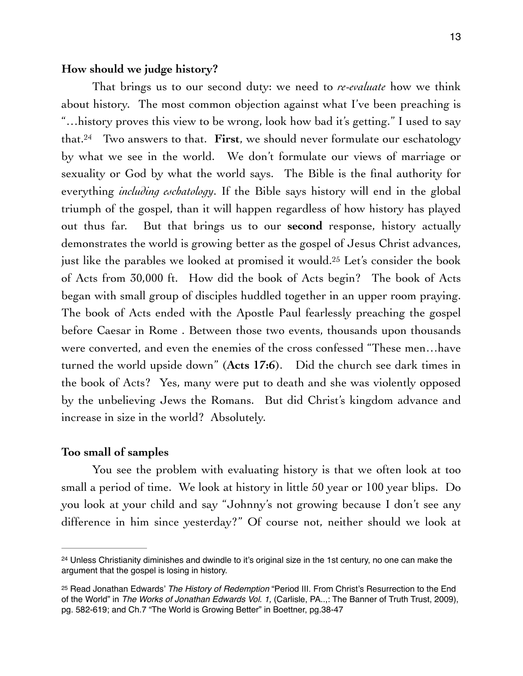## **How should we judge history?**

<span id="page-12-3"></span><span id="page-12-2"></span>That brings us to our second duty: we need to *re-evaluate* how we think about history. The most common objection against what I've been preaching is "…history proves this view to be wrong, look how bad it's getting." I used to say that.<sup>24</sup> Two answers to that[.](#page-12-0) **First**, we should never formulate our eschatology by what we see in the world. We don't formulate our views of marriage or sexuality or God by what the world says. The Bible is the final authority for everything *including eschatology*. If the Bible says history will end in the global triumph of the gospel, than it will happen regardless of how history has played out thus far. But that brings us to our **second** response, history actually demonstrates the world is growing better as the gospel of Jesus Christ advances, just like the parables we looked at promised it would[.](#page-12-1)<sup>[25](#page-12-1)</sup> Let's consider the book of Acts from 30,000 ft. How did the book of Acts begin? The book of Acts began with small group of disciples huddled together in an upper room praying. The book of Acts ended with the Apostle Paul fearlessly preaching the gospel before Caesar in Rome . Between those two events, thousands upon thousands were converted, and even the enemies of the cross confessed "These men…have turned the world upside down" (**Acts 17:6**). Did the church see dark times in the book of Acts? Yes, many were put to death and she was violently opposed by the unbelieving Jews the Romans. But did Christ's kingdom advance and increase in size in the world? Absolutely.

## **Too small of samples**

You see the problem with evaluating history is that we often look at too small a period of time. We look at history in little 50 year or 100 year blips. Do you look at your child and say "Johnny's not growing because I don't see any difference in him since yesterday?" Of course not, neither should we look at

<span id="page-12-0"></span><sup>&</sup>lt;sup>[24](#page-12-2)</sup> Unless Christianity diminishes and dwindle to it's original size in the 1st century, no one can make the argument that the gospel is losing in history.

<span id="page-12-1"></span><sup>&</sup>lt;sup>[25](#page-12-3)</sup> Read Jonathan Edwards' *The History of Redemption* "Period III. From Christ's Resurrection to the End of the World" in *The Works of Jonathan Edwards Vol. 1,* (Carlisle, PA..,: The Banner of Truth Trust, 2009), pg. 582-619; and Ch.7 "The World is Growing Better" in Boettner, pg.38-47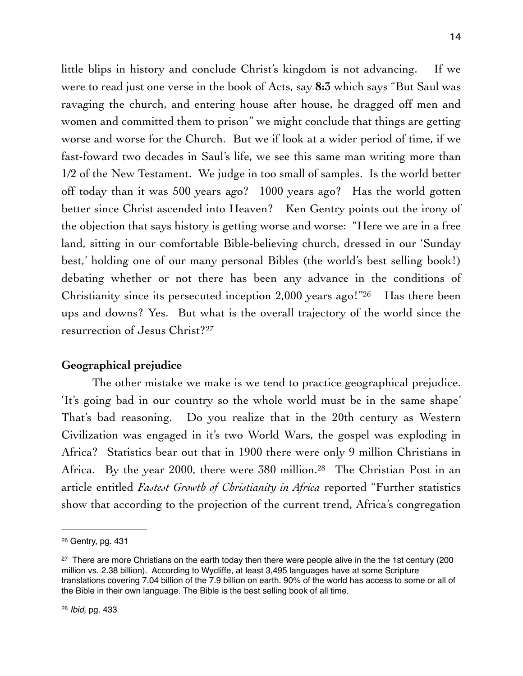little blips in history and conclude Christ's kingdom is not advancing. If we were to read just one verse in the book of Acts, say **8:3** which says "But Saul was ravaging the church, and entering house after house, he dragged off men and women and committed them to prison" we might conclude that things are getting worse and worse for the Church. But we if look at a wider period of time, if we fast-foward two decades in Saul's life, we see this same man writing more than 1/2 of the New Testament. We judge in too small of samples. Is the world better off today than it was 500 years ago? 1000 years ago? Has the world gotten better since Christ ascended into Heaven? Ken Gentry points out the irony of the objection that says history is getting worse and worse: "Here we are in a free land, sitting in our comfortable Bible-believing church, dressed in our 'Sunday best,' holding one of our many personal Bibles (the world's best selling book!) debating whether or not there has been any advance in the conditions of Christianity since its persecuted inception  $2,000$  years ago!["](#page-13-0)  $26$  Has there been ups and downs? Yes. But what is the overall trajectory of the world since the resurrection of Jesus Christ[?](#page-13-1)<sup>[27](#page-13-1)</sup>

## <span id="page-13-4"></span><span id="page-13-3"></span>**Geographical prejudice**

The other mistake we make is we tend to practice geographical prejudice. 'It's going bad in our country so the whole world must be in the same shape' That's bad reasoning. Do you realize that in the 20th century as Western Civilization was engaged in it's two World Wars, the gospel was exploding in Africa? Statistics bear out that in 1900 there were only 9 million Christians in Africa. By the year 2000, there were  $380$  million.<sup>[28](#page-13-2)</sup> The Christian Post in an article entitled *Fastest Growth of Christianity in Africa* reported "Further statistics show that according to the projection of the current trend, Africa's congregation

<span id="page-13-5"></span><span id="page-13-0"></span>[<sup>26</sup>](#page-13-3) Gentry, pg. 431

<span id="page-13-2"></span><span id="page-13-1"></span><sup>&</sup>lt;sup>[27](#page-13-4)</sup> There are more Christians on the earth today then there were people alive in the the 1st century (200 million vs. 2.38 billion). According to Wycliffe, at least 3,495 languages have at some Scripture translations covering 7.04 billion of the 7.9 billion on earth. 90% of the world has access to some or all of the Bible in their own language. The Bible is the best selling book of all time.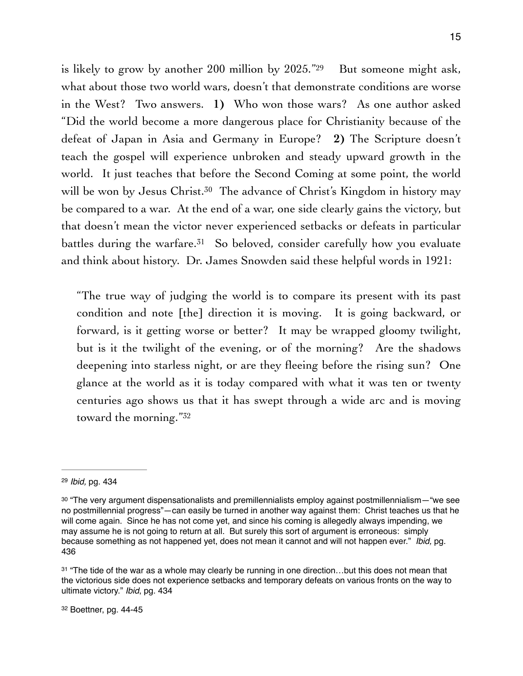<span id="page-14-4"></span>is likely to grow by another 200 million by  $2025.^{29}$  $2025.^{29}$  $2025.^{29}$  But someone might ask, what about those two world wars, doesn't that demonstrate conditions are worse in the West? Two answers. **1)** Who won those wars? As one author asked "Did the world become a more dangerous place for Christianity because of the defeat of Japan in Asia and Germany in Europe? **2)** The Scripture doesn't teach the gospel will experience unbroken and steady upward growth in the world. It just teaches that before the Second Coming at some point, the world will be won by Jesus Christ.<sup>[30](#page-14-1)</sup> The advance of Christ's Kingdom in history may be compared to a war. At the end of a war, one side clearly gains the victory, but that doesn't mean the victor never experienced setbacks or defeats in particular battlesduring the warfare.<sup>[31](#page-14-2)</sup> So beloved, consider carefully how you evaluate and think about history. Dr. James Snowden said these helpful words in 1921:

<span id="page-14-6"></span><span id="page-14-5"></span>"The true way of judging the world is to compare its present with its past condition and note [the] direction it is moving. It is going backward, or forward, is it getting worse or better? It may be wrapped gloomy twilight, but is it the twilight of the evening, or of the morning? Are the shadows deepening into starless night, or are they fleeing before the rising sun? One glance at the world as it is today compared with what it was ten or twenty centuries ago shows us that it has swept through a wide arc and is moving toward the morning.["32](#page-14-3)

<span id="page-14-7"></span><span id="page-14-0"></span>[<sup>29</sup>](#page-14-4) *Ibid,* pg. 434

<span id="page-14-1"></span> $30$  "The very argument dispensationalists and premillennialists employ against postmillennialism— "we see no postmillennial progress"—can easily be turned in another way against them: Christ teaches us that he will come again. Since he has not come yet, and since his coming is allegedly always impending, we may assume he is not going to return at all. But surely this sort of argument is erroneous: simply because something as not happened yet, does not mean it cannot and will not happen ever." *Ibid,* pg. 436

<span id="page-14-3"></span><span id="page-14-2"></span>[<sup>31</sup>](#page-14-6) "The tide of the war as a whole may clearly be running in one direction...but this does not mean that the victorious side does not experience setbacks and temporary defeats on various fronts on the way to ultimate victory." *Ibid*, pg. 434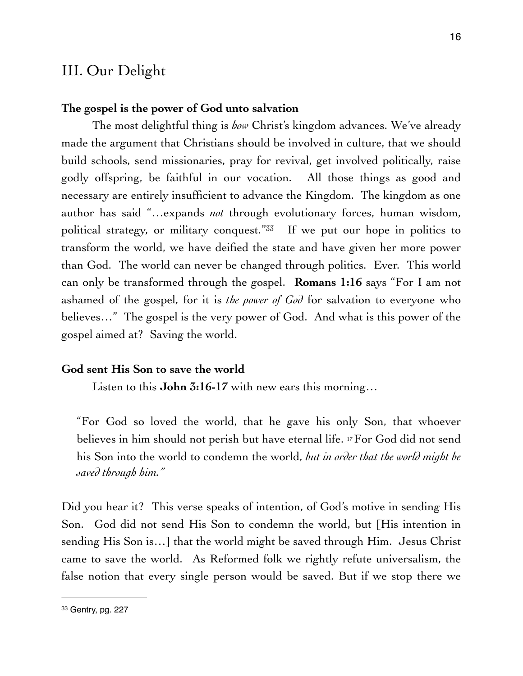## III. Our Delight

## **The gospel is the power of God unto salvation**

<span id="page-15-1"></span>The most delightful thing is *how* Christ's kingdom advances. We've already made the argument that Christians should be involved in culture, that we should build schools, send missionaries, pray for revival, get involved politically, raise godly offspring, be faithful in our vocation. All those things as good and necessary are entirely insufficient to advance the Kingdom. The kingdom as one author has said "…expands *not* through evolutionary forces, human wisdom, political strategy, or military conquest.<sup>" $33$ </sup> If we put our hope in politics to transform the world, we have deified the state and have given her more power than God. The world can never be changed through politics. Ever. This world can only be transformed through the gospel. **Romans 1:16** says "For I am not ashamed of the gospel, for it is *the power of God* for salvation to everyone who believes…" The gospel is the very power of God. And what is this power of the gospel aimed at? Saving the world.

#### **God sent His Son to save the world**

Listen to this **John 3:16-17** with new ears this morning…

"For God so loved the world, that he gave his only Son, that whoever believes in him should not perish but have eternal life. 17 For God did not send his Son into the world to condemn the world, *but in order that the world might be saved through him."*

Did you hear it? This verse speaks of intention, of God's motive in sending His Son. God did not send His Son to condemn the world, but [His intention in sending His Son is…] that the world might be saved through Him. Jesus Christ came to save the world. As Reformed folk we rightly refute universalism, the false notion that every single person would be saved. But if we stop there we

<span id="page-15-0"></span>[<sup>33</sup>](#page-15-1) Gentry, pg. 227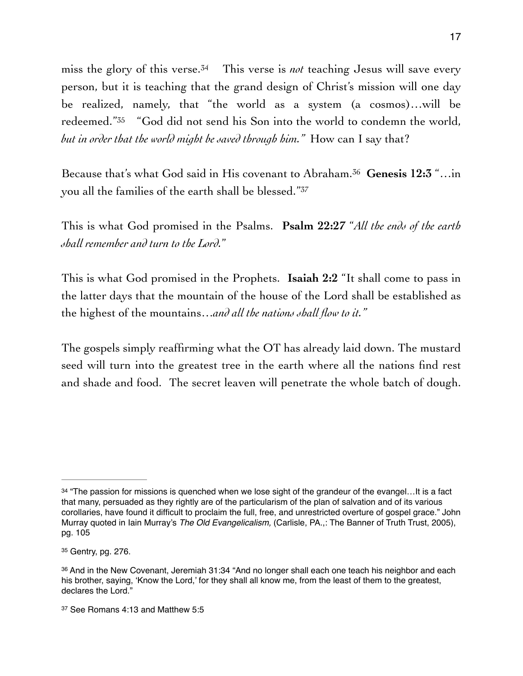<span id="page-16-5"></span><span id="page-16-4"></span>miss the glory of this verse[.](#page-16-0)<sup> $34$ </sup> This verse is *not* teaching Jesus will save every person, but it is teaching that the grand design of Christ's mission will one day be realized, namely, that "the world as a system (a cosmos)…will be redeemed."<sup>[35](#page-16-1)</sup> "God did not send his Son into the world to condemn the world, *but in order that the world might be saved through him."* How can I say that?

<span id="page-16-7"></span><span id="page-16-6"></span>Because that's what God said in His covenant to Abraham.<sup>36</sup> Genesis 12:3 "...in you all the families of the earth shall be blessed."<sup>37</sup>

This is what God promised in the Psalms. **Psalm 22:27** "*All the ends of the earth shall remember and turn to the Lord.*"

This is what God promised in the Prophets. **Isaiah 2:2** "It shall come to pass in the latter days that the mountain of the house of the Lord shall be established as the highest of the mountains…*and all the nations shall flow to it."*

The gospels simply reaffirming what the OT has already laid down. The mustard seed will turn into the greatest tree in the earth where all the nations find rest and shade and food. The secret leaven will penetrate the whole batch of dough.

<span id="page-16-0"></span><sup>&</sup>lt;sup>[34](#page-16-4)</sup> "The passion for missions is quenched when we lose sight of the grandeur of the evangel...It is a fact that many, persuaded as they rightly are of the particularism of the plan of salvation and of its various corollaries, have found it difficult to proclaim the full, free, and unrestricted overture of gospel grace." John Murray quoted in Iain Murray's *The Old Evangelicalism,* (Carlisle, PA.,: The Banner of Truth Trust, 2005), pg. 105

<span id="page-16-1"></span>[<sup>35</sup>](#page-16-5) Gentry, pg. 276.

<span id="page-16-2"></span>[<sup>36</sup>](#page-16-6) And in the New Covenant, Jeremiah 31:34 "And no longer shall each one teach his neighbor and each his brother, saying, 'Know the Lord,' for they shall all know me, from the least of them to the greatest, declares the Lord."

<span id="page-16-3"></span>[<sup>37</sup>](#page-16-7) See Romans 4:13 and Matthew 5:5